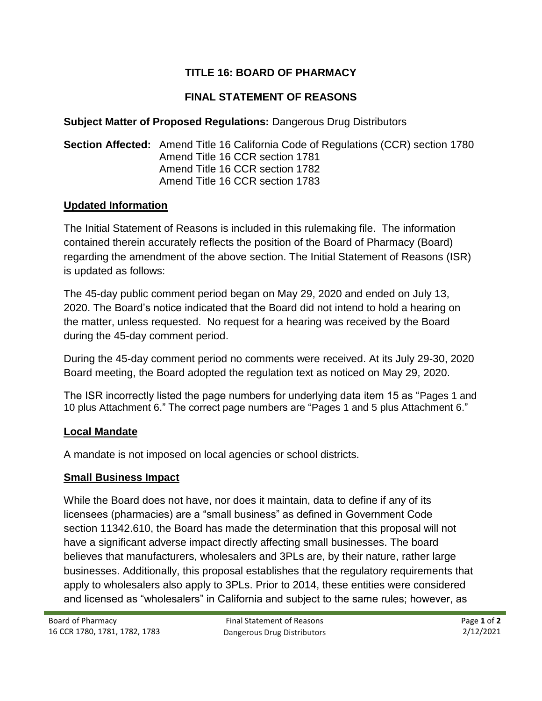# **TITLE 16: BOARD OF PHARMACY**

# **FINAL STATEMENT OF REASONS**

#### **Subject Matter of Proposed Regulations:** Dangerous Drug Distributors

#### **Section Affected:** Amend Title 16 California Code of Regulations (CCR) section 1780 Amend Title 16 CCR section 1781 Amend Title 16 CCR section 1782 Amend Title 16 CCR section 1783

#### **Updated Information**

The Initial Statement of Reasons is included in this rulemaking file. The information contained therein accurately reflects the position of the Board of Pharmacy (Board) regarding the amendment of the above section. The Initial Statement of Reasons (ISR) is updated as follows:

The 45-day public comment period began on May 29, 2020 and ended on July 13, 2020. The Board's notice indicated that the Board did not intend to hold a hearing on the matter, unless requested. No request for a hearing was received by the Board during the 45-day comment period.

During the 45-day comment period no comments were received. At its July 29-30, 2020 Board meeting, the Board adopted the regulation text as noticed on May 29, 2020.

The ISR incorrectly listed the page numbers for underlying data item 15 as "Pages 1 and 10 plus Attachment 6." The correct page numbers are "Pages 1 and 5 plus Attachment 6."

## **Local Mandate**

A mandate is not imposed on local agencies or school districts.

## **Small Business Impact**

While the Board does not have, nor does it maintain, data to define if any of its licensees (pharmacies) are a "small business" as defined in Government Code section 11342.610, the Board has made the determination that this proposal will not have a significant adverse impact directly affecting small businesses. The board believes that manufacturers, wholesalers and 3PLs are, by their nature, rather large businesses. Additionally, this proposal establishes that the regulatory requirements that apply to wholesalers also apply to 3PLs. Prior to 2014, these entities were considered and licensed as "wholesalers" in California and subject to the same rules; however, as